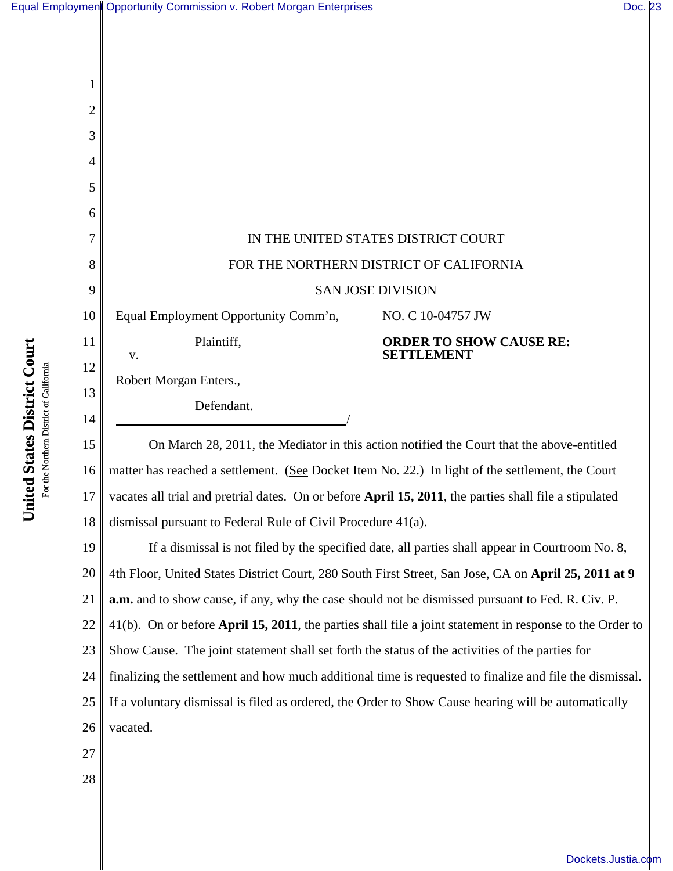|  | Equal Employmen Opportunity Commission v. Robert Morgan Enterprises | Doc. 23 |  |
|--|---------------------------------------------------------------------|---------|--|
|--|---------------------------------------------------------------------|---------|--|

| 1              |                                                                                                                                                                                                            |  |  |  |
|----------------|------------------------------------------------------------------------------------------------------------------------------------------------------------------------------------------------------------|--|--|--|
| $\overline{2}$ |                                                                                                                                                                                                            |  |  |  |
| 3              |                                                                                                                                                                                                            |  |  |  |
| $\overline{4}$ |                                                                                                                                                                                                            |  |  |  |
| 5              |                                                                                                                                                                                                            |  |  |  |
| 6              |                                                                                                                                                                                                            |  |  |  |
| 7              | IN THE UNITED STATES DISTRICT COURT                                                                                                                                                                        |  |  |  |
| 8              | FOR THE NORTHERN DISTRICT OF CALIFORNIA                                                                                                                                                                    |  |  |  |
| 9              | <b>SAN JOSE DIVISION</b>                                                                                                                                                                                   |  |  |  |
| 10             | Equal Employment Opportunity Comm'n,<br>NO. C 10-04757 JW                                                                                                                                                  |  |  |  |
| 11             | Plaintiff,<br><b>ORDER TO SHOW CAUSE RE:</b><br><b>SETTLEMENT</b><br>v.                                                                                                                                    |  |  |  |
| 12             | Robert Morgan Enters.,                                                                                                                                                                                     |  |  |  |
| 13             | Defendant.                                                                                                                                                                                                 |  |  |  |
| 14             |                                                                                                                                                                                                            |  |  |  |
| 15             | On March 28, 2011, the Mediator in this action notified the Court that the above-entitled                                                                                                                  |  |  |  |
| 16<br>17       | matter has reached a settlement. (See Docket Item No. 22.) In light of the settlement, the Court                                                                                                           |  |  |  |
| 18             | vacates all trial and pretrial dates. On or before April 15, 2011, the parties shall file a stipulated                                                                                                     |  |  |  |
|                | dismissal pursuant to Federal Rule of Civil Procedure 41(a).                                                                                                                                               |  |  |  |
| 19<br>20       | If a dismissal is not filed by the specified date, all parties shall appear in Courtroom No. 8,                                                                                                            |  |  |  |
| 21             | 4th Floor, United States District Court, 280 South First Street, San Jose, CA on April 25, 2011 at 9                                                                                                       |  |  |  |
| 22             | <b>a.m.</b> and to show cause, if any, why the case should not be dismissed pursuant to Fed. R. Civ. P.                                                                                                    |  |  |  |
| 23             | 41(b). On or before <b>April 15, 2011</b> , the parties shall file a joint statement in response to the Order to                                                                                           |  |  |  |
| 24             | Show Cause. The joint statement shall set forth the status of the activities of the parties for<br>finalizing the settlement and how much additional time is requested to finalize and file the dismissal. |  |  |  |
| 25             | If a voluntary dismissal is filed as ordered, the Order to Show Cause hearing will be automatically                                                                                                        |  |  |  |
|                |                                                                                                                                                                                                            |  |  |  |

- 26 vacated.
- 27

**United States District Court** For the Northern District of California

United States District Court For the Northern District of California

28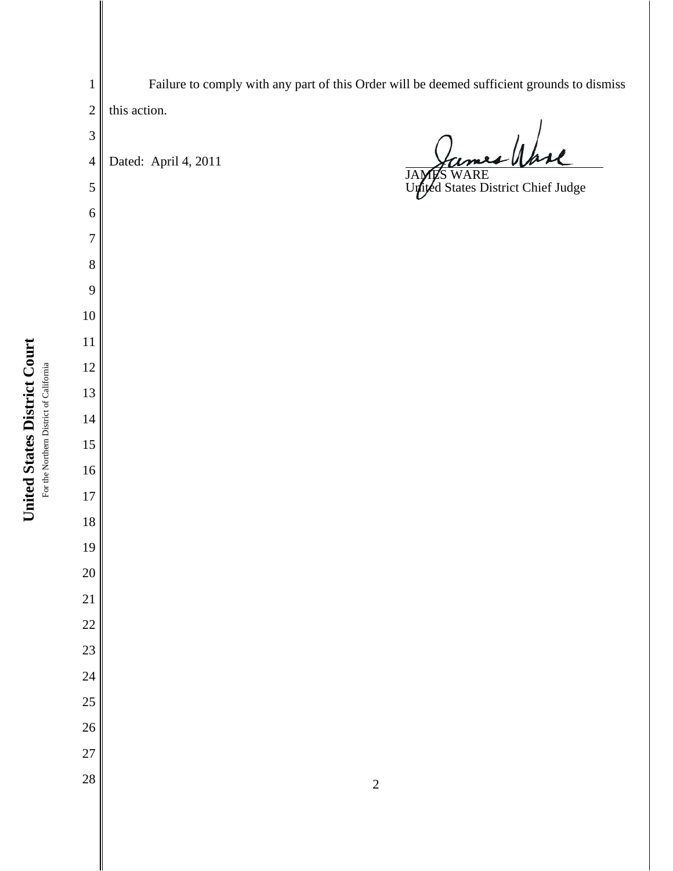Failure to comply with any part of this Order will be deemed sufficient grounds to dismiss